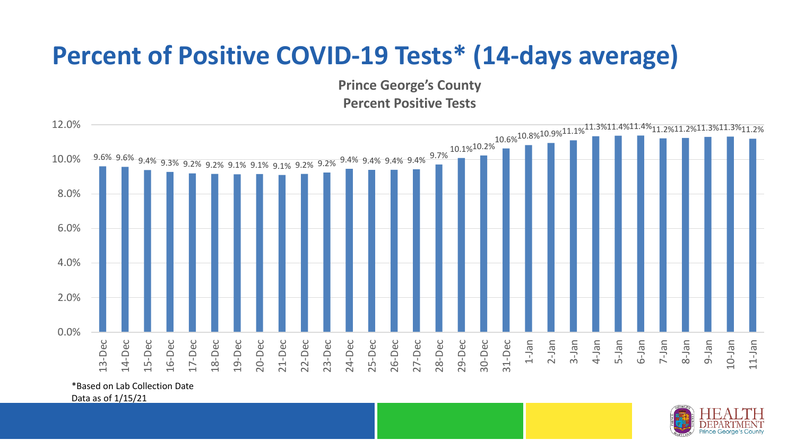## **Percent of Positive COVID-19 Tests\* (14-days average)**

**Prince George's County Percent Positive Tests**



\*Based on Lab Collection Date

Data as of 1/15/21

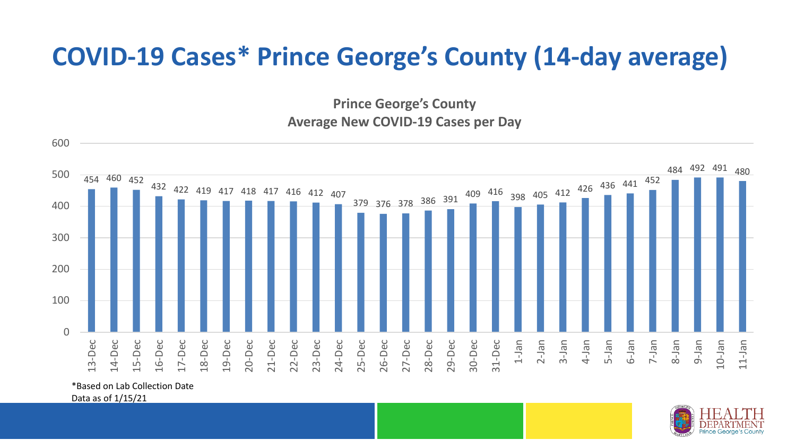## **COVID-19 Cases\* Prince George's County (14-day average)**

**Prince George's County Average New COVID-19 Cases per Day**



\*Based on Lab Collection Date

Data as of 1/15/21